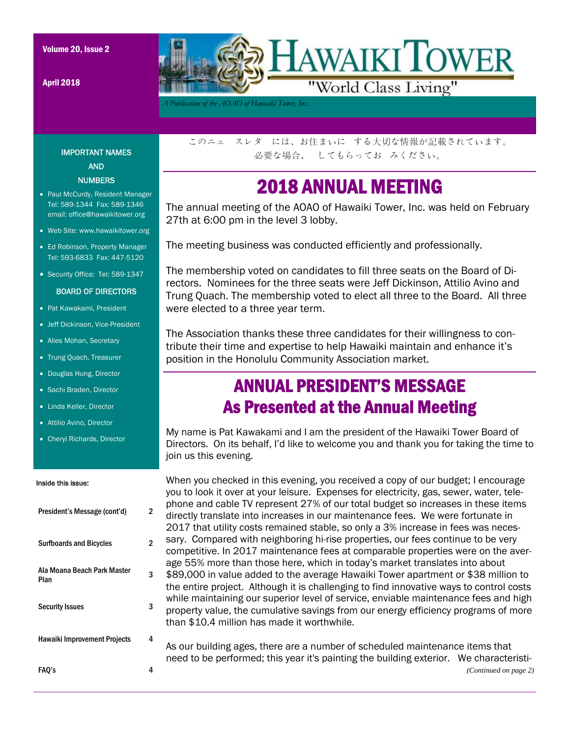April 2018



*A Publication of the AOAO of Hawaiki Tower, Inc..* 

IMPORTANT NAMES AND **NUMBERS** 

- Paul McCurdy, Resident Manager Tel: 589-1344 Fax: 589-1346 email: office@hawaikitower.org
- Web Site: www.hawaikitower.org
- Ed Robinson, Property Manager Tel: 593-6833 Fax: 447-5120
- Security Office: Tel: 589-1347

#### BOARD OF DIRECTORS

- Pat Kawakami, President
- Jeff Dickinson, Vice-President
- Alies Mohan, Secretary
- Trung Quach, Treasurer
- Douglas Hung, Director
- Sachi Braden, Director
- Linda Keller, Director
- Attilio Avino, Director
- Cheryl Richards, Director

#### Inside this issue:

| President's Message (cont'd)        | 2 |
|-------------------------------------|---|
| <b>Surfboards and Bicycles</b>      | 2 |
| Ala Moana Beach Park Master<br>Plan | 3 |
| <b>Security Issues</b>              | З |
| <b>Hawaiki Improvement Projects</b> | 4 |
| FAQ's                               |   |

このニュ スレタ には、お住まいに する大切な情報が記載されています。 必要な場合、 してもらってお みください。

### 2018 ANNUAL MEETING

The annual meeting of the AOAO of Hawaiki Tower, Inc. was held on February 27th at 6:00 pm in the level 3 lobby.

The meeting business was conducted efficiently and professionally.

The membership voted on candidates to fill three seats on the Board of Directors. Nominees for the three seats were Jeff Dickinson, Attilio Avino and Trung Quach. The membership voted to elect all three to the Board. All three were elected to a three year term.

The Association thanks these three candidates for their willingness to contribute their time and expertise to help Hawaiki maintain and enhance it's position in the Honolulu Community Association market.

### ANNUAL PRESIDENT'S MESSAGE As Presented at the Annual Meeting

My name is Pat Kawakami and I am the president of the Hawaiki Tower Board of Directors. On its behalf, I'd like to welcome you and thank you for taking the time to join us this evening.

When you checked in this evening, you received a copy of our budget; I encourage you to look it over at your leisure. Expenses for electricity, gas, sewer, water, telephone and cable TV represent 27% of our total budget so increases in these items directly translate into increases in our maintenance fees. We were fortunate in 2017 that utility costs remained stable, so only a 3% increase in fees was necessary. Compared with neighboring hi-rise properties, our fees continue to be very competitive. In 2017 maintenance fees at comparable properties were on the average 55% more than those here, which in today's market translates into about \$89,000 in value added to the average Hawaiki Tower apartment or \$38 million to the entire project. Although it is challenging to find innovative ways to control costs while maintaining our superior level of service, enviable maintenance fees and high property value, the cumulative savings from our energy efficiency programs of more than \$10.4 million has made it worthwhile.

As our building ages, there are a number of scheduled maintenance items that need to be performed; this year it's painting the building exterior. We characteristi- *(Continued on page 2)*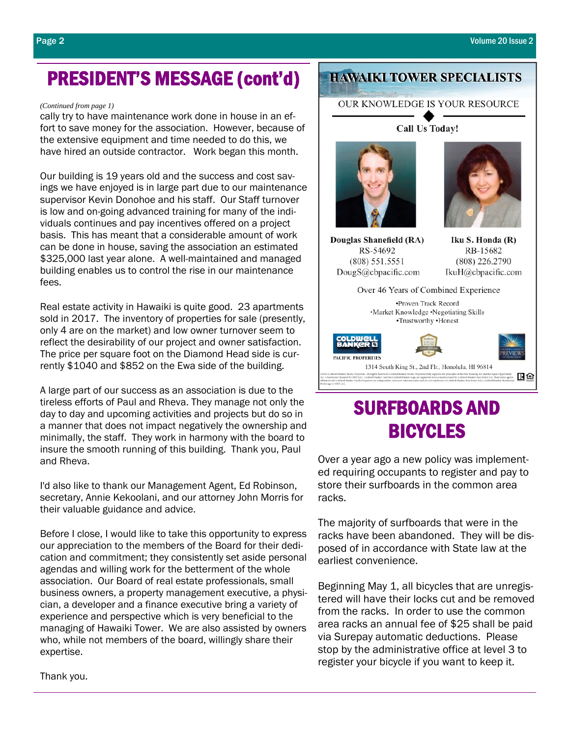## PRESIDENT'S MESSAGE (cont'd)

#### *(Continued from page 1)*

cally try to have maintenance work done in house in an effort to save money for the association. However, because of the extensive equipment and time needed to do this, we have hired an outside contractor. Work began this month.

Our building is 19 years old and the success and cost savings we have enjoyed is in large part due to our maintenance supervisor Kevin Donohoe and his staff. Our Staff turnover is low and on-going advanced training for many of the individuals continues and pay incentives offered on a project basis. This has meant that a considerable amount of work can be done in house, saving the association an estimated \$325,000 last year alone. A well-maintained and managed building enables us to control the rise in our maintenance fees.

Real estate activity in Hawaiki is quite good. 23 apartments sold in 2017. The inventory of properties for sale (presently, only 4 are on the market) and low owner turnover seem to reflect the desirability of our project and owner satisfaction. The price per square foot on the Diamond Head side is currently \$1040 and \$852 on the Ewa side of the building.

A large part of our success as an association is due to the tireless efforts of Paul and Rheva. They manage not only the day to day and upcoming activities and projects but do so in a manner that does not impact negatively the ownership and minimally, the staff. They work in harmony with the board to insure the smooth running of this building. Thank you, Paul and Rheva.

I'd also like to thank our Management Agent, Ed Robinson, secretary, Annie Kekoolani, and our attorney John Morris for their valuable guidance and advice.

Before I close, I would like to take this opportunity to express our appreciation to the members of the Board for their dedication and commitment; they consistently set aside personal agendas and willing work for the betterment of the whole association. Our Board of real estate professionals, small business owners, a property management executive, a physician, a developer and a finance executive bring a variety of experience and perspective which is very beneficial to the managing of Hawaiki Tower. We are also assisted by owners who, while not members of the board, willingly share their expertise.

### **HAWAIKI TOWER SPECIALISTS**

#### OUR KNOWLEDGE IS YOUR RESOURCE

Call Us Today!



Douglas Shanefield (RA) RS-54692  $(808) 551.5551$ DougS@cbpacific.com

Iku S. Honda (R) RB-15682  $(808)$  226.2790 IkuH@cbpacific.com

Over 46 Years of Combined Experience ·Proven Track Record \*Market Knowledge \*Negotiating Skills •Trustworthy •Honest **PACIFIC PROPERTIES** 1314 South King St., 2nd Flr., Honolulu, HI 96814 田鱼

# SURFBOARDS AND **BICYCLES**

Over a year ago a new policy was implemented requiring occupants to register and pay to store their surfboards in the common area racks.

The majority of surfboards that were in the racks have been abandoned. They will be disposed of in accordance with State law at the earliest convenience.

Beginning May 1, all bicycles that are unregistered will have their locks cut and be removed from the racks. In order to use the common area racks an annual fee of \$25 shall be paid via Surepay automatic deductions. Please stop by the administrative office at level 3 to register your bicycle if you want to keep it.

Thank you.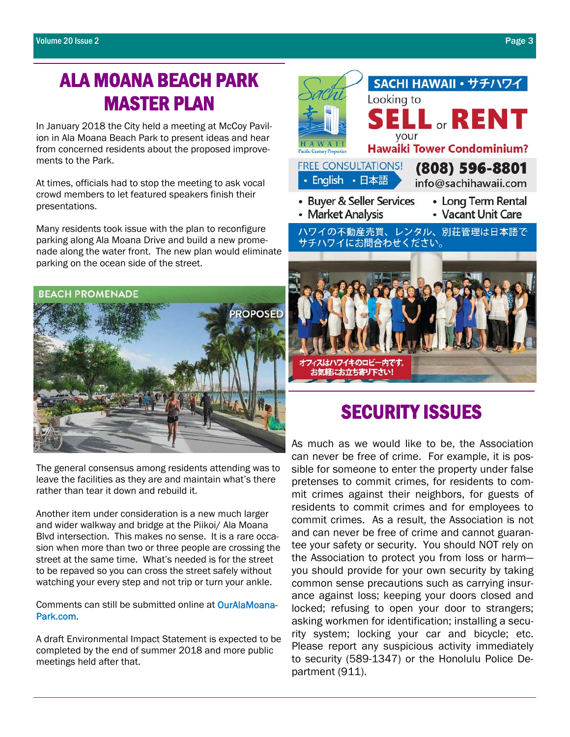# ALA MOANA BEACH PARK MASTER PLAN

In January 2018 the City held a meeting at McCoy Pavilion in Ala Moana Beach Park to present ideas and hear from concerned residents about the proposed improvements to the Park.

At times, officials had to stop the meeting to ask vocal crowd members to let featured speakers finish their presentations.

Many residents took issue with the plan to reconfigure parking along Ala Moana Drive and build a new promenade along the water front. The new plan would eliminate parking on the ocean side of the street.



The general consensus among residents attending was to leave the facilities as they are and maintain what's there rather than tear it down and rebuild it.

Another item under consideration is a new much larger and wider walkway and bridge at the Piikoi/ Ala Moana Blvd intersection. This makes no sense. It is a rare occasion when more than two or three people are crossing the street at the same time. What's needed is for the street to be repaved so you can cross the street safely without watching your every step and not trip or turn your ankle.

Comments can still be submitted online at OurAlaMoana-Park.com.

A draft Environmental Impact Statement is expected to be completed by the end of summer 2018 and more public meetings held after that.



## SECURITY ISSUES

As much as we would like to be, the Association can never be free of crime. For example, it is possible for someone to enter the property under false pretenses to commit crimes, for residents to commit crimes against their neighbors, for guests of residents to commit crimes and for employees to commit crimes. As a result, the Association is not and can never be free of crime and cannot guarantee your safety or security. You should NOT rely on the Association to protect you from loss or harm you should provide for your own security by taking common sense precautions such as carrying insurance against loss; keeping your doors closed and locked; refusing to open your door to strangers; asking workmen for identification; installing a security system; locking your car and bicycle; etc. Please report any suspicious activity immediately to security (589-1347) or the Honolulu Police Department (911).